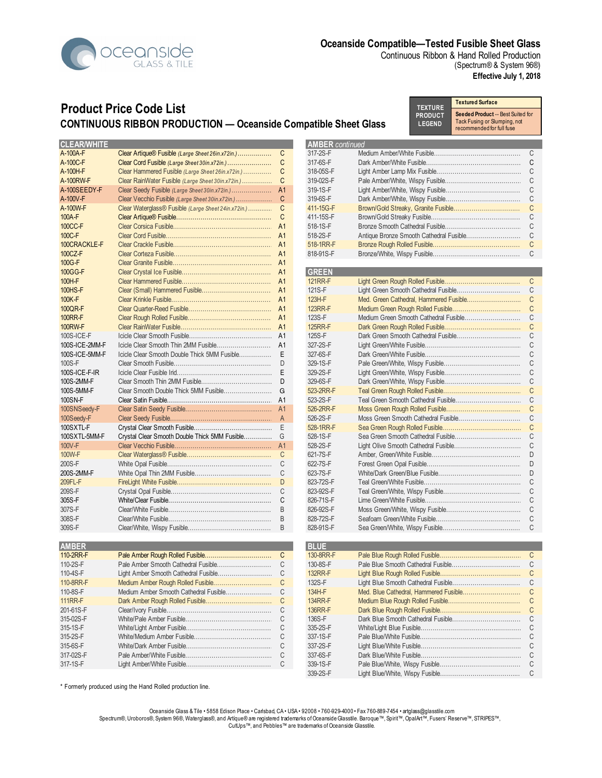

Continuous Ribbon & Hand Rolled Production (Spectrum® & System 96®) **Effective July 1, 2018**

# **Product Price Code List CONTINUOUS RIBBON PRODUCTION — Oceanside Compatible Sheet Glass**

**Textured Surface Seeded Product** -- Best Suited for Tack Fusing or Slumping, not recommended for full fuse **TEXTURE PRODUCT LEGEND** 

| <b>CLEAR/WHITE</b> |                                                     |                | <b>AMBER</b> continued |               |
|--------------------|-----------------------------------------------------|----------------|------------------------|---------------|
| A-100A-F           | Clear Artique® Fusible (Large Sheet 26in.x72in.)    | C              | 317-2S-F               | C             |
| A-100C-F           | Clear Cord Fusible (Large Sheet 30in.x72in.)        | C              | 317-6S-F               | C             |
| A-100H-F           | Clear Hammered Fusible (Large Sheet 26in.x72in.)    | C              | 318-05S-F              |               |
| A-100RW-F          | Clear RainWater Fusible (Large Sheet 30in.x72in.)   | C              | 319-02S-F              |               |
| A-100SEEDY-F       |                                                     | A <sub>1</sub> | 319-1S-F               | C             |
| A-100V-F           | Clear Vecchio Fusible (Large Sheet 30in.x72in.)     | C              | 319-6S-F               | C             |
| A-100W-F           | Clear Waterglass® Fusible (Large Sheet 24in.x72in.) | C              | 411-15G-F              | C             |
|                    |                                                     | C              | 411-15S-F              | C             |
| 100A-F             |                                                     |                |                        |               |
| 100CC-F            |                                                     |                | 518-1S-F               | C             |
| 100C-F             |                                                     |                | 518-2S-F               | C             |
| 100CRACKLE-F       |                                                     |                | 518-1RR-F              |               |
| 100CZ-F            |                                                     |                | 818-91S-F              |               |
| 100G-F             |                                                     |                |                        |               |
| 100GG-F            |                                                     |                | <b>GREEN</b>           |               |
| 100H-F             |                                                     |                | <b>121RR-F</b>         | C             |
| <b>100HS-F</b>     |                                                     |                | 121S-F                 | C             |
| 100K-F             |                                                     |                | 123H-F                 |               |
| 100QR-F            |                                                     |                | <b>123RR-F</b>         | $\mathsf{C}$  |
| <b>100RR-F</b>     |                                                     |                | 123S-F                 | C             |
| 100RW-F            |                                                     |                | <b>125RR-F</b>         | C             |
| $100S$ -ICE-F      |                                                     |                | 125S-F                 | C             |
| 100S-ICE-2MM-F     |                                                     |                | 327-2S-F               |               |
|                    |                                                     |                |                        |               |
| 100S-ICE-5MM-F     |                                                     |                | 327-6S-F               | C             |
| 100S-F             |                                                     | D              | 329-1S-F               | C             |
| 100S-ICE-F-IR      |                                                     | E              | 329-2S-F               | C             |
| 100S-2MM-F         |                                                     | D              | 329-6S-F               | C             |
| 100S-5MM-F         |                                                     | G              | 523-2RR-F              | C             |
| 100SN-F            |                                                     |                | 523-2S-F               | C             |
| 100SNSeedy-F       |                                                     |                | 526-2RR-F              | C             |
| 100Seedy-F         |                                                     |                | 526-2S-F               | C             |
| 100SXTL-F          |                                                     |                | 528-1RR-F              |               |
| 100SXTL-5MM-F      | Crystal Clear Smooth Double Thick 5MM Fusible       | G              | 528-1S-F               |               |
| 100V-F             |                                                     |                | 528-2S-F               |               |
| 100W-F             |                                                     |                | 621-7S-F               |               |
| 200S-F             |                                                     |                | 622-7S-F               |               |
| 200S-2MM-F         |                                                     | C              | 623-7S-F               |               |
| 209FL-F            |                                                     | D              | 823-72S-F              |               |
| 209S-F             |                                                     |                | 823-92S-F              | C             |
| 305S-F             |                                                     | C              | 826-71S-F              | C             |
|                    |                                                     |                | 826-92S-F              |               |
| 307S-F             |                                                     |                |                        |               |
| 308S-F             |                                                     | B              | 828-72S-F              | C             |
| 309S-F             |                                                     | B              | 828-91S-F              |               |
|                    |                                                     |                |                        |               |
| <b>AMBER</b>       |                                                     |                | <b>BLUE</b>            |               |
| 110-2RR-F          |                                                     | C              | 130-8RR-F              |               |
| 110-2S-F           |                                                     | $\mathsf{C}$   | 130-8S-F               | $\mathcal{C}$ |
| 110-4S-F           |                                                     | C              | <b>132RR-F</b>         |               |
| 110-8RR-F          | Medium Amber Rough Rolled Fusible                   |                | 132S-F                 |               |
| 110-8S-F           |                                                     | C              | 134H-F                 |               |
| <b>111RR-F</b>     |                                                     | C              | <b>134RR-F</b>         | C             |
| 201-61S-F          |                                                     | C              | <b>136RR-F</b>         |               |
| 315-02S-F          |                                                     | C              | 136S-F                 | C             |
| 315-1S-F           |                                                     | C              | 335-2S-F               |               |
| 315-2S-F           |                                                     | C              | 337-1S-F               |               |
| 315-6S-F           |                                                     | C              | 337-2S-F               |               |
| 317-02S-F          |                                                     | C              | 337-6S-F               |               |
| 317-1S-F           |                                                     | C              |                        |               |
|                    |                                                     |                | 339-1S-F               |               |

|                        | recommended for full fuse               |        |
|------------------------|-----------------------------------------|--------|
| <b>AMBER</b> continued |                                         |        |
| 317-2S-F               |                                         | С      |
| 317-6S-F               |                                         | C      |
| 318-05S-F              |                                         | C      |
| 319-02S-F              |                                         | C      |
| 319-1S-F               |                                         | C      |
| 319-6S-F               |                                         | C      |
| 11-15G-F               |                                         | C      |
| 111-15S-F              |                                         | C      |
| 518-1S-F               |                                         | C      |
| 518-2S-F               | Antique Bronze Smooth Cathedral Fusible | C      |
| 518-1RR-F              |                                         | C      |
|                        |                                         | C      |
| 318-91S-F              |                                         |        |
|                        |                                         |        |
| GREEN                  |                                         |        |
| <b>21RR-F</b>          |                                         | C      |
| $21S-F$                | Light Green Smooth Cathedral Fusible    | С      |
| 123H-F                 | Med. Green Cathedral, Hammered Fusible  | C      |
| <b>23RR-F</b>          | Medium Green Rough Rolled Fusible       | C      |
| 23S-F                  | Medium Green Smooth Cathedral Fusible   | Ċ      |
| 25RR-F                 |                                         | C      |
| 25S-F                  | Dark Green Smooth Cathedral Fusible     | C      |
| 327-2S-F               |                                         | C      |
| 327-6S-F               |                                         | C      |
| 329-1S-F               |                                         | C      |
| 329-2S-F               |                                         | C      |
| 329-6S-F               |                                         | C      |
| 523-2RR-F              |                                         | C      |
| $523 - 2S - F$         |                                         | Ċ      |
| 526-2RR-F              |                                         | C      |
| 526-2S-F               | Moss Green Smooth Cathedral Fusible     | C      |
| 528-1RR-F              |                                         | Ċ      |
| 528-1S-F               |                                         | C      |
| 528-2S-F               |                                         | С      |
| 621-7S-F               |                                         | D      |
| 622-7S-F               |                                         | D      |
| ኔ23-7S-F               |                                         | D      |
| 323-72S-F              |                                         | C      |
| 323-92S-F              |                                         | C      |
| 326-71S-F              |                                         | C      |
| 326-92S-F              |                                         | С      |
| 328-72S-F              |                                         | С      |
| 328-91S-F              |                                         | C      |
|                        |                                         |        |
| <b>BLUE</b>            |                                         |        |
| 30-8RR-F               |                                         | С      |
| 30-8S-F                |                                         | C      |
| 32RR-F                 | Light Rlue Rough Rolled Fusible         | $\cap$ |

| 130-0RR-F | ◡ |
|-----------|---|
| 130-8S-F  | C |
| 132RR-F   | C |
| 132S-F    | C |
| 134H-F    | C |
| 134RR-F   | C |
| 136RR-F   | C |
| 136S-F    | C |
| 335-2S-F  | C |
| 337-1S-F  | C |
| 337-2S-F  | C |
| 337-6S-F  | C |
| 339-1S-F  | С |
| 339-2S-F  | С |
|           |   |

\* Formerly produced using the Hand Rolled production line.

Oceanside Glass & Tile • 5858 Edison Place • Carlsbad, CA • USA • 92008 • 760-929-4000 • Fax 760-889-7454 • artglass@glasstile.com Spectrum®, Uroboros®, System 96®, Waterglass®, and Artíque® are registered trademarks of Oceanside Glasstile. Baroque™, Spirit™, OpalArt™, Fusers' Reserve™, STRIPES™, CutUps™, and Pebbles™ are trademarks of Oceanside Glasstile.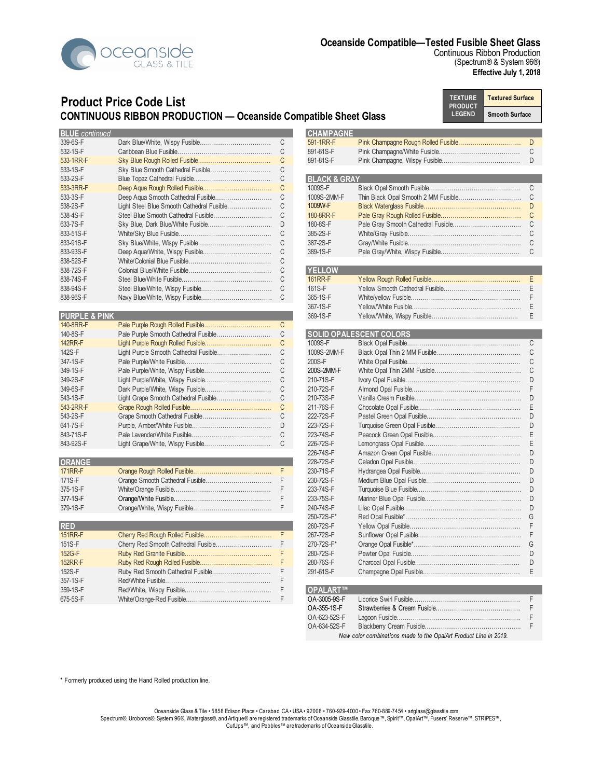

Continuous Ribbon Production (Spectrum® & System 96®) **Effective July 1, 2018**

## **Product Price Code List CONTINUOUS RIBBON PRODUCTION — Oceanside Compatible Sheet Glass**

**Textured Surface Smooth Surface TEXTURE PRODUCT LEGEND**

| <b>BLUE</b> continued<br>HAMPAGNE<br>339-6S-F<br>591-1RR-F<br>C<br>891-61S-F<br>532-1S-F<br>533-1RR-F<br>891-81S-F<br>C<br>533-1S-F<br>С<br><b>BLACK &amp; GRAY</b><br>C<br>533-2S-F<br>533-3RR-F<br>1009S-F<br>533-3S-F<br>1009S-2MM-F<br>1009W-F<br>538-2S-F<br>538-4S-F<br>180-8RR-F<br>633-7S-F<br>180-8S-F<br>D<br>833-51S-F<br>385-2S-F<br>833-91S-F<br>387-2S-F<br>833-93S-F<br>389-1S-F<br>838-52S-F<br><b>YELLOW</b><br>838-72S-F<br>838-74S-F<br>161RR-F<br>838-94S-F<br>161S-F<br>838-96S-F<br>365-1S-F |  |  |                |
|--------------------------------------------------------------------------------------------------------------------------------------------------------------------------------------------------------------------------------------------------------------------------------------------------------------------------------------------------------------------------------------------------------------------------------------------------------------------------------------------------------------------|--|--|----------------|
|                                                                                                                                                                                                                                                                                                                                                                                                                                                                                                                    |  |  |                |
|                                                                                                                                                                                                                                                                                                                                                                                                                                                                                                                    |  |  |                |
|                                                                                                                                                                                                                                                                                                                                                                                                                                                                                                                    |  |  |                |
|                                                                                                                                                                                                                                                                                                                                                                                                                                                                                                                    |  |  | D              |
|                                                                                                                                                                                                                                                                                                                                                                                                                                                                                                                    |  |  |                |
|                                                                                                                                                                                                                                                                                                                                                                                                                                                                                                                    |  |  |                |
|                                                                                                                                                                                                                                                                                                                                                                                                                                                                                                                    |  |  | C              |
|                                                                                                                                                                                                                                                                                                                                                                                                                                                                                                                    |  |  |                |
|                                                                                                                                                                                                                                                                                                                                                                                                                                                                                                                    |  |  |                |
|                                                                                                                                                                                                                                                                                                                                                                                                                                                                                                                    |  |  |                |
|                                                                                                                                                                                                                                                                                                                                                                                                                                                                                                                    |  |  |                |
|                                                                                                                                                                                                                                                                                                                                                                                                                                                                                                                    |  |  |                |
|                                                                                                                                                                                                                                                                                                                                                                                                                                                                                                                    |  |  |                |
|                                                                                                                                                                                                                                                                                                                                                                                                                                                                                                                    |  |  | <sup>-</sup> C |
|                                                                                                                                                                                                                                                                                                                                                                                                                                                                                                                    |  |  |                |
|                                                                                                                                                                                                                                                                                                                                                                                                                                                                                                                    |  |  |                |
|                                                                                                                                                                                                                                                                                                                                                                                                                                                                                                                    |  |  |                |
|                                                                                                                                                                                                                                                                                                                                                                                                                                                                                                                    |  |  |                |
|                                                                                                                                                                                                                                                                                                                                                                                                                                                                                                                    |  |  |                |

| <b>PURPLE &amp; PINK</b> |    | 369-1S-F    |                                | Е |
|--------------------------|----|-------------|--------------------------------|---|
| 140-8RR-F                | C  |             |                                |   |
| 140-8S-F                 | C  |             | <b>SOLID OPALESCENT COLORS</b> |   |
| <b>142RR-F</b>           |    | 1009S-F     |                                | C |
| 142S-F                   | C  | 1009S-2MM-F |                                | C |
| 347-1S-F                 | U  | 200S-F      |                                | U |
| 349-1S-F                 | С  | 200S-2MM-F  |                                | C |
| 349-2S-F                 | C. | 210-71S-F   |                                | D |
| 349-6S-F                 | C  | 210-72S-F   |                                |   |
| 543-1S-F                 | C  | 210-73S-F   |                                |   |
| 543-2RR-F                | C  | 211-76S-F   |                                |   |
| 543-2S-F                 | U  | 222-72S-F   |                                |   |
| 641-7S-F                 | D  | 223-72S-F   |                                |   |
| 843-71S-F                |    | 223-74S-F   |                                | E |
| 843-92S-F                |    | 226-72S-F   |                                | Е |

| <b>ORANGE</b>  |  | 228-72S-F         |                               |  |
|----------------|--|-------------------|-------------------------------|--|
| <b>171RR-F</b> |  | 230-71S-F         |                               |  |
| 171S-F         |  | 230-72S-F         |                               |  |
| 375-1S-F       |  | 233-74S-F         |                               |  |
| 377-1S-F       |  | 233-75S-F         |                               |  |
| 379-1S-F       |  | 240-74S-F         |                               |  |
|                |  | $0.50 - 700 - 56$ | $P_1$ $P_2$ $P_3$ $P_4$ $P_5$ |  |

| KEL            |  | ZOU-123-F       |  |
|----------------|--|-----------------|--|
| <b>151RR-F</b> |  | 267-72S-F       |  |
| 151S-F         |  | 270-72S-F*      |  |
| 152G-F         |  | 280-72S-F       |  |
| <b>152RR-F</b> |  | 280-76S-F       |  |
| 152S-F         |  | 291-61S-F       |  |
| 357-1S-F       |  |                 |  |
| 359-1S-F       |  | <b>OPALART™</b> |  |
| 675-5S-F       |  | OA-3005-9S-F    |  |

| <b>UUU 11 \1 \1</b> |   |                         | $\blacksquare$ $\blacksquare$ $\blacksquare$ $\blacksquare$ $\blacksquare$ $\blacksquare$ $\blacksquare$ $\blacksquare$ $\blacksquare$ $\blacksquare$ $\blacksquare$ $\blacksquare$ $\blacksquare$ $\blacksquare$ $\blacksquare$ $\blacksquare$ $\blacksquare$ $\blacksquare$ $\blacksquare$ $\blacksquare$ $\blacksquare$ $\blacksquare$ $\blacksquare$ $\blacksquare$ $\blacksquare$ $\blacksquare$ $\blacksquare$ $\blacksquare$ $\blacksquare$ $\blacksquare$ $\blacksquare$ $\blacks$ |  |
|---------------------|---|-------------------------|--------------------------------------------------------------------------------------------------------------------------------------------------------------------------------------------------------------------------------------------------------------------------------------------------------------------------------------------------------------------------------------------------------------------------------------------------------------------------------------------|--|
| 533-1S-F            |   |                         |                                                                                                                                                                                                                                                                                                                                                                                                                                                                                            |  |
| 533-2S-F            |   | <b>BLACK &amp; GRAY</b> |                                                                                                                                                                                                                                                                                                                                                                                                                                                                                            |  |
| 533-3RR-F           |   | 1009S-F                 |                                                                                                                                                                                                                                                                                                                                                                                                                                                                                            |  |
| 533-3S-F            |   | 1009S-2MM-F             |                                                                                                                                                                                                                                                                                                                                                                                                                                                                                            |  |
| 538-2S-F            |   | 1009W-F                 |                                                                                                                                                                                                                                                                                                                                                                                                                                                                                            |  |
| 538-4S-F            |   | 180-8RR-F               |                                                                                                                                                                                                                                                                                                                                                                                                                                                                                            |  |
| 633-7S-F            |   | 180-8S-F                |                                                                                                                                                                                                                                                                                                                                                                                                                                                                                            |  |
| 833-51S-F           | C | 385-2S-F                |                                                                                                                                                                                                                                                                                                                                                                                                                                                                                            |  |
| 833-91S-F           |   | 387-2S-F                |                                                                                                                                                                                                                                                                                                                                                                                                                                                                                            |  |
| 833-93S-F           |   | 389-1S-F                |                                                                                                                                                                                                                                                                                                                                                                                                                                                                                            |  |
| 838-52S-F           |   |                         |                                                                                                                                                                                                                                                                                                                                                                                                                                                                                            |  |
| 838-72S-F           | C | <b>YELLOW</b>           |                                                                                                                                                                                                                                                                                                                                                                                                                                                                                            |  |
| 838-74S-F           |   | 161RR-F                 |                                                                                                                                                                                                                                                                                                                                                                                                                                                                                            |  |
| 838-94S-F           |   | 161S-F                  |                                                                                                                                                                                                                                                                                                                                                                                                                                                                                            |  |
| 838-96S-F           |   | 365-1S-F                |                                                                                                                                                                                                                                                                                                                                                                                                                                                                                            |  |

367-1S-F Yellow/White Fusible………………………………………………….... E **PURPLE & PINK** 369-1S-F Yellow/White, Wispy Fusible………………………………..….. E

| 140-8RR-F      |                                      | <sub>C</sub> |             |                                |    |
|----------------|--------------------------------------|--------------|-------------|--------------------------------|----|
| 140-8S-F       |                                      | C            |             | <b>SOLID OPALESCENT COLORS</b> |    |
| <b>142RR-F</b> |                                      | C            | 1009S-F     |                                | C. |
| 142S-F         |                                      | C            | 1009S-2MM-F |                                |    |
| 347-1S-F       |                                      |              | 200S-F      |                                |    |
| 349-1S-F       |                                      | C            | 200S-2MM-F  |                                |    |
| 349-2S-F       |                                      | C            | 210-71S-F   |                                |    |
| 349-6S-F       |                                      | C            | 210-72S-F   |                                |    |
| 543-1S-F       | Light Grape Smooth Cathedral Fusible | C            | 210-73S-F   |                                | D. |
| 543-2RR-F      |                                      | C            | 211-76S-F   |                                |    |
| 543-2S-F       |                                      | C            | 222-72S-F   |                                |    |
| 641-7S-F       |                                      | D            | 223-72S-F   |                                | D  |
| 843-71S-F      |                                      | C            | 223-74S-F   |                                |    |
| 843-92S-F      |                                      |              | 226-72S-F   |                                |    |
|                |                                      |              | 226-74S-F   |                                | D  |
| <b>ORANGE</b>  |                                      |              | 228-72S-F   |                                |    |
| <b>171RR-F</b> |                                      | F.           | 230-71S-F   |                                |    |
| 171S-F         |                                      | F            | 230-72S-F   |                                | D  |
| 375-1S-F       |                                      |              | 233-74S-F   |                                | D  |
| 377-1S-F       |                                      | F            | 233-75S-F   |                                |    |
| 379-1S-F       |                                      |              | 240-74S-F   |                                |    |
|                |                                      |              | 250-72S-F*  |                                |    |
| <b>RED</b>     |                                      |              | 260-72S-F   |                                |    |
| <b>151RR-F</b> |                                      | F            | 267-72S-F   |                                |    |
| 151S-F         |                                      |              | 270-72S-F*  |                                |    |
| 152G-F         |                                      | F            | 280-72S-F   |                                | D  |
| <b>152RR-F</b> |                                      |              | 280-76S-F   |                                | D  |
| 152S-F         |                                      |              | 291-61S-F   |                                |    |
| 25740F         | $D = d / M / L$                      |              |             |                                |    |

#### **359-1S-FOR-FUSIBLE**

| .            |                                                                  |  |
|--------------|------------------------------------------------------------------|--|
| OA-3005-9S-F |                                                                  |  |
| OA-355-1S-F  |                                                                  |  |
| OA-623-52S-F |                                                                  |  |
| OA-634-52S-F |                                                                  |  |
|              | New color combinations made to the OpalArt Product Line in 2019. |  |

\* Formerly produced using the Hand Rolled production line.

Oceanside Glass & Tile • 5858 Edison Place • Carlsbad, CA • USA • 92008 • 760-929-4000 • Fax 760-889-7454 • artglass@glasstile.com Spectrum®, Uroboros®, System 96®, Waterglass®, and Artíque® are registered trademarks of Oceanside Glasstile. Baroque™, Spirit™, OpalArt™, Fusers' Reserve™, STRIPES™, CutUps™, and Pebbles™ are trademarks of Oceanside Glasstile.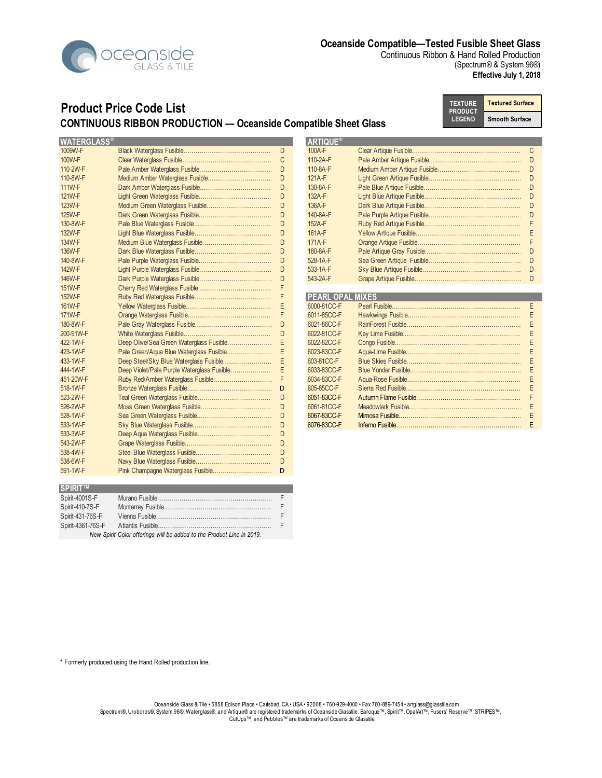

Continuous Ribbon & Hand Rolled Production (Spectrum® & System 96®) **Effective July 1, 2018**

## **Product Price Code List CONTINUOUS RIBBON PRODUCTION — Oceanside Compatible Sheet Glass**

**Textured Surface Smooth Surface TEXTURE PRODUCT LEGEND**

| <b>WATERGLASS®</b> |                                            |   | <b>ARTIQUE®</b>         |        |
|--------------------|--------------------------------------------|---|-------------------------|--------|
| 1009W-F            |                                            | D | $100A-F$                | C      |
| 100W-F             |                                            | C | 110-2A-F                | D      |
| 110-2W-F           |                                            | D | 110-8A-F                | D      |
| 110-8W-F           |                                            | D | 121A-F                  | D      |
| 111W-F             |                                            | D | 130-8A-F                | $\Box$ |
| 121W-F             |                                            | D | 132A-F                  | D      |
| 123W-F             |                                            | D | 136A-F                  | D      |
| 125W-F             |                                            | D | 140-8A-F                | D      |
| 130-8W-F           |                                            | D | 152A-F                  |        |
| 132W-F             |                                            | D | 161A-F                  |        |
| 134W-F             |                                            | D | 171A-F                  |        |
| 136W-F             |                                            | D | 180-8A-F                | D      |
| 140-8W-F           |                                            | D | 528-1A-F                | D      |
| 142W-F             |                                            | D | 533-1A-F                | D      |
| 146W-F             |                                            | D | 543-2A-F                | D      |
| 151W-F             |                                            |   |                         |        |
| 152W-F             |                                            | F | <b>PEARL OPAL MIXES</b> |        |
| 161W-F             |                                            | E | 6000-81CC-F             | F      |
| 171W-F             |                                            |   | 6011-85CC-F             |        |
| 180-8W-F           |                                            | D | 6021-86CC-F             |        |
| 200-91W-F          |                                            | D | 6022-81CC-F             |        |
| 422-1W-F           | Deep Olive/Sea Green Waterglass Fusible    | E | 6022-82CC-F             |        |
| 423-1W-F           | Pale Green/Aqua Blue Waterglass Fusible    | Ε | 6023-83CC-F             |        |
| 433-1W-F           | Deep Steel/Sky Blue Waterglass Fusible     | E | 603-81CC-F              |        |
| 444-1W-F           | Deep Violet/Pale Purple Waterglass Fusible | Ε | 6033-83CC-F             |        |
| 451-20W-F          | Ruby Red/Amber Waterglass Fusible          |   | 6034-83CC-F             |        |
| 518-1W-F           |                                            | D | 605-85CC-F              |        |
| 523-2W-F           |                                            | D | 6051-83CC-F             |        |
| 526-2W-F           |                                            | D | 6061-81CC-F             |        |
| 528-1W-F           |                                            | D | 6067-83CC-F             |        |
| 533-1W-F           |                                            | D | 6076-83CC-F             |        |
| 533-3W-F           |                                            | D |                         |        |
| 543-2W-F           |                                            | D |                         |        |
| 538-4W-F           |                                            | D |                         |        |
| 538-6W-F           |                                            | D |                         |        |
| 591-1W-F           |                                            | D |                         |        |

| <b>SPIRIT<sup>IM</sup></b> |                                                                       |   |
|----------------------------|-----------------------------------------------------------------------|---|
| Spirit-4001S-F             |                                                                       | E |
| Spirit-410-7S-F            |                                                                       |   |
| Spirit-431-76S-F           |                                                                       | E |
| Spirit-4361-76S-F          |                                                                       |   |
|                            | New Spirit Color offerings will be added to the Product Line in 2019. |   |

| WATERGLASS® |                                            |   | <b>LARTIQUE®</b>        |  |
|-------------|--------------------------------------------|---|-------------------------|--|
| 1009W-F     |                                            | D | $100A-F$                |  |
| 100W-F      |                                            |   | 110-2A-F                |  |
| 110-2W-F    |                                            | D | 110-8A-F                |  |
| 110-8W-F    |                                            | D | 121A-F                  |  |
| 111W-F      |                                            | D | 130-8A-F                |  |
| 121W-F      |                                            | D | 132A-F                  |  |
| 123W-F      |                                            | D | 136A-F                  |  |
| 125W-F      |                                            | D | 140-8A-F                |  |
| 130-8W-F    |                                            | D | 152A-F                  |  |
| 132W-F      |                                            | D | 161A-F                  |  |
| 134W-F      |                                            | D | 171A-F                  |  |
| 136W-F      |                                            | D | 180-8A-F                |  |
| 140-8W-F    |                                            | D | 528-1A-F                |  |
| 142W-F      |                                            | D | 533-1A-F                |  |
| 146W-F      |                                            | D | 543-2A-F                |  |
| 151W-F      |                                            |   |                         |  |
| 152W-F      |                                            |   | <b>PEARL OPAL MIXES</b> |  |
| 161W-F      |                                            | Ε | 6000-81CC-F             |  |
| 171W-F      |                                            |   | 6011-85CC-F             |  |
| 180-8W-F    |                                            | D | 6021-86CC-F             |  |
| 200-91W-F   |                                            | D | 6022-81CC-F             |  |
| 422-1W-F    | Deep Olive/Sea Green Waterglass Fusible    | Ε | 6022-82CC-F             |  |
| 423-1W-F    | Pale Green/Aqua Blue Waterglass Fusible    | E | 6023-83CC-F             |  |
| 433-1W-F    | Deep Steel/Sky Blue Waterglass Fusible     | E | 603-81CC-F              |  |
| 444-1W-F    | Deep Violet/Pale Purple Waterglass Fusible |   | 6033-83CC-F             |  |
| 451-20W-F   |                                            | F | 6034-83CC-F             |  |
| 518-1W-F    |                                            | D | 605-85CC-F              |  |
| 523-2W-F    |                                            | D | 6051-83CC-F             |  |
| 526-2W-F    |                                            | D | 6061-81CC-F             |  |
| 528-1W-F    |                                            | D | 6067-83CC-F             |  |
|             |                                            |   |                         |  |

\* Formerly produced using the Hand Rolled production line.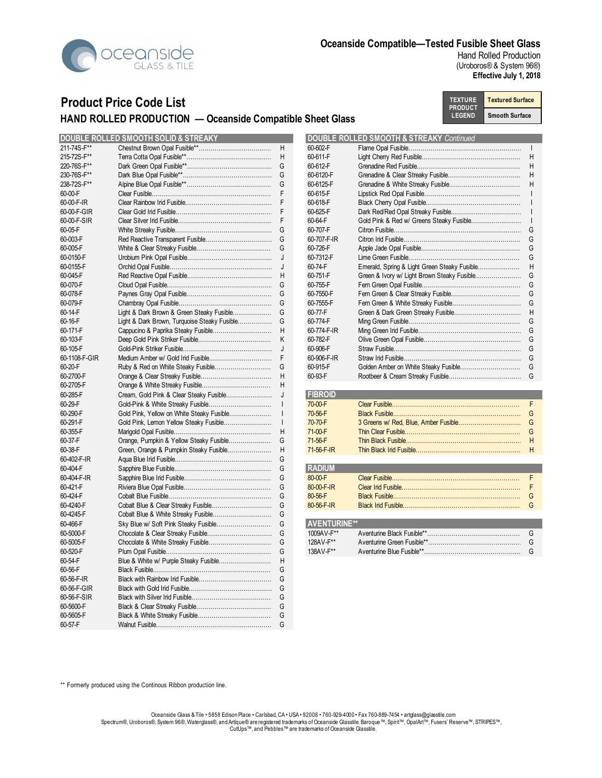

Hand Rolled Production (Uroboros® & System 96®) **Effective July 1, 2018**

# **Product Price Code List HAND ROLLED PRODUCTION — Oceanside Compatible Sheet Glass**

**Textured Surface Smooth Surface TEXTURE PRODUCT LEGEND**

|                    | <b>DOUBLE ROLLED SMOOTH SOLID &amp; STREAKY</b> |              |                     | <b>DOUBLE ROLLED SMOOTH &amp; STREAKY Continued</b> |                |
|--------------------|-------------------------------------------------|--------------|---------------------|-----------------------------------------------------|----------------|
| 211-74S-F**        |                                                 | H            | 60-602-F            |                                                     |                |
| 215-72S-F**        |                                                 | H            | 60-611-F            |                                                     | $\overline{a}$ |
| 220-76S-F**        |                                                 | G            | 60-612-F            |                                                     | $\mathsf{H}$   |
| 230-76S-F**        |                                                 | G            | 60-6120-F           |                                                     |                |
| 238-72S-F**        |                                                 | G            | 60-6125-F           |                                                     |                |
| 60-00-F            |                                                 | F            | 60-615-F            |                                                     |                |
| 60-00-F-IR         |                                                 | F            | 60-618-F            |                                                     |                |
| 60-00-F-GIR        |                                                 | F            | 60-625-F            |                                                     |                |
| 60-00-F-SIR        |                                                 | F            | 60-64-F             | Gold Pink & Red w/ Greens Steaky Fusible            |                |
| 60-05-F            |                                                 | G            | 60-707-F            |                                                     | G              |
| 60-003-F           |                                                 | G            | 60-707-F-IR         |                                                     | G              |
| 60-005-F           |                                                 | G            | 60-726-F            |                                                     | G              |
| 60-0150-F          |                                                 | J            | 60-7312-F           |                                                     | G              |
| 60-0155-F          |                                                 | J            | 60-74-F             | Emerald, Spring & Light Green Steaky Fusible        |                |
| 60-045-F           |                                                 | H            | 60-751-F            | Green & Ivory w/ Light Brown Steaky Fusible         | G              |
| 60-070-F           |                                                 | G            | 60-755-F            |                                                     | G              |
| 60-078-F           |                                                 | G            | 60-7550-F           |                                                     |                |
| 60-079-F           |                                                 | G            | 60-7555-F           |                                                     | G              |
| 60-14-F            | Light & Dark Brown & Green Steaky Fusible       | G            | 60-77-F             |                                                     | $\mathsf{H}$   |
| 60-16-F            | Light & Dark Brown, Turquoise Steaky Fusible    | G            | 60-774-F            |                                                     | G              |
| 60-171-F           |                                                 | H            | 60-774-F-IR         |                                                     | G              |
| 60-103-F           |                                                 | K            | 60-782-F            |                                                     | G              |
| 60-105-F           |                                                 | J            | 60-906-F            |                                                     |                |
| 60-1108-F-GIR      |                                                 | F            | 60-906-F-IR         |                                                     | G              |
| 60-20-F            |                                                 | G            | 60-915-F            |                                                     | G              |
| 60-2700-F          |                                                 | H            | 60-93-F             |                                                     | G              |
| 60-2705-F          |                                                 | H            |                     |                                                     |                |
|                    |                                                 |              | <b>FIBROID</b>      |                                                     |                |
| 60-285-F           | Cream, Gold Pink & Clear Steaky Fusible         | J            |                     |                                                     | F              |
| 60-29-F            | Gold-Pink & White Streaky Fusible               | $\perp$      | 70-00-F             |                                                     |                |
| 60-290-F           | Gold Pink, Yellow on White Steaky Fusible       | $\perp$      | 70-56-F             |                                                     |                |
| 60-291-F           | Gold Pink, Lemon Yellow Steaky Fusible          | $\mathbf{I}$ | 70-70-F             |                                                     | C              |
| 60-355-F           |                                                 | H            | 71-00-F             |                                                     | G              |
| 60-37-F            | Orange, Pumpkin & Yellow Steaky Fusible         | G            | 71-56-F             |                                                     |                |
| 60-38-F            | Green, Orange & Pumpkin Steaky Fusible          | H            | 71-56-F-IR          |                                                     | $\mathsf{H}$   |
| 60-402-F-IR        |                                                 | G            |                     |                                                     |                |
| 60-404-F           |                                                 | G            | <b>RADIUM</b>       |                                                     |                |
| 60-404-F-IR        |                                                 | G            | 80-00-F             |                                                     | F              |
| 60-421-F           |                                                 | G            | 80-00-F-IR          |                                                     |                |
| 60-424-F           |                                                 | G            | 80-56-F             |                                                     | G              |
| 60-4240-F          |                                                 | G            | 80-56-F-IR          |                                                     | G              |
| 60-4245-F          |                                                 | G            |                     |                                                     |                |
| 60-466-F           |                                                 | G            | <b>AVENTURINE**</b> |                                                     |                |
| 60-5000-F          |                                                 | G            | 1009AV-F**          |                                                     | $\mathcal{C}$  |
| 60-5005-F          |                                                 | G            | 128AV-F**           |                                                     | G              |
| 60-520-F           |                                                 | G            | 138AV-F**           |                                                     | $\mathcal{C}$  |
| 60-54-F            | Blue & White w/ Purple Steaky Fusible           | H            |                     |                                                     |                |
| 60-56-F            |                                                 | G            |                     |                                                     |                |
| $60 - 56 - F - IR$ |                                                 | G            |                     |                                                     |                |
| 60-56-F-GIR        |                                                 | G            |                     |                                                     |                |
| 60-56-F-SIR        |                                                 | G            |                     |                                                     |                |
| 60-5600-F          |                                                 | G            |                     |                                                     |                |
| 60-5605-F          |                                                 | G            |                     |                                                     |                |
| 60-57-F            |                                                 | G            |                     |                                                     |                |
|                    |                                                 |              |                     |                                                     |                |

|               | <b>DOUBLE ROLLED SMOOTH SOLID &amp; STREAKY</b> |   |             | <b>DOUBLE ROLLED SMOOTH &amp; STREAKY Continued</b> |   |
|---------------|-------------------------------------------------|---|-------------|-----------------------------------------------------|---|
| 211-74S-F**   |                                                 | H | 60-602-F    |                                                     |   |
| 215-72S-F**   |                                                 | H | 60-611-F    |                                                     |   |
| 220-76S-F**   |                                                 |   | 60-612-F    |                                                     | H |
| 230-76S-F**   |                                                 |   | 60-6120-F   |                                                     |   |
| 238-72S-F**   |                                                 |   | 60-6125-F   |                                                     |   |
| 60-00-F       |                                                 |   | 60-615-F    |                                                     |   |
| 60-00-F-IR    |                                                 |   | 60-618-F    |                                                     |   |
| 60-00-F-GIR   |                                                 |   | 60-625-F    |                                                     |   |
| 60-00-F-SIR   |                                                 |   | 60-64-F     |                                                     |   |
| 60-05-F       |                                                 |   | 60-707-F    |                                                     |   |
| 60-003-F      |                                                 |   | 60-707-F-IR |                                                     |   |
| 60-005-F      |                                                 |   | 60-726-F    |                                                     |   |
| 60-0150-F     |                                                 |   | 60-7312-F   |                                                     |   |
| 60-0155-F     |                                                 |   | 60-74-F     | Emerald, Spring & Light Green Steaky Fusible        | H |
| 60-045-F      |                                                 |   | 60-751-F    |                                                     |   |
| 60-070-F      |                                                 |   | 60-755-F    |                                                     |   |
| 60-078-F      |                                                 |   | 60-7550-F   |                                                     |   |
| 60-079-F      |                                                 |   | 60-7555-F   |                                                     |   |
| 60-14-F       | Light & Dark Brown & Green Steaky Fusible       |   | 60-77-F     |                                                     |   |
| 60-16-F       | Light & Dark Brown, Turquoise Steaky Fusible    | G | 60-774-F    |                                                     |   |
| 60-171-F      |                                                 | H | 60-774-F-IR |                                                     |   |
| 60-103-F      |                                                 |   | 60-782-F    |                                                     |   |
| 60-105-F      |                                                 |   | 60-906-F    |                                                     |   |
| 60-1108-F-GIR |                                                 |   | 60-906-F-IR |                                                     |   |
| 60-20-F       |                                                 | G | 60-915-F    |                                                     | G |
| 60-2700-F     |                                                 |   | 60-93-F     |                                                     |   |
|               |                                                 |   |             |                                                     |   |

| 60-285-F |  | <b>FIBROID</b>     |  |
|----------|--|--------------------|--|
| 60-29-F  |  | 70-00-F            |  |
| 60-290-F |  | $70 - 56 - F$      |  |
| 60-291-F |  | 70-70-F            |  |
| 60-355-F |  | $71-00-F$          |  |
| 60-37-F  |  | $71 - 56 - F$      |  |
| 60-38-F  |  | $71 - 56 - F - IR$ |  |
|          |  |                    |  |

| 60-404-F    |  | <b>RADIUM</b>      |  |
|-------------|--|--------------------|--|
| 60-404-F-IR |  | 80-00-F            |  |
| 60-421-F    |  | $80 - 00 - F - IR$ |  |
| 60-424-F    |  | $80 - 56 - F$      |  |
| 60-4240-F   |  | $80 - 56 - F - IR$ |  |
| 60-4245-F   |  |                    |  |

| 60-466-F  |  | <b>AVENTURINE**</b> |  |
|-----------|--|---------------------|--|
| 60-5000-F |  | 1009AV-F**          |  |
| 60-5005-F |  | 128AV-F**           |  |
| 60-520-F  |  | 138AV-F**           |  |

\*\* Formerly produced using the Continous Ribbon production line.